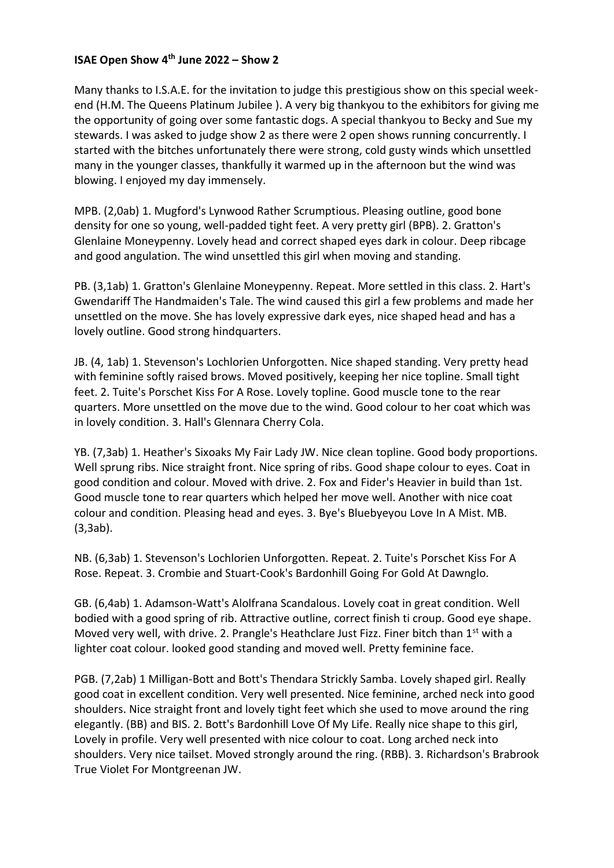## **ISAE Open Show 4th June 2022 – Show 2**

Many thanks to I.S.A.E. for the invitation to judge this prestigious show on this special weekend (H.M. The Queens Platinum Jubilee ). A very big thankyou to the exhibitors for giving me the opportunity of going over some fantastic dogs. A special thankyou to Becky and Sue my stewards. I was asked to judge show 2 as there were 2 open shows running concurrently. I started with the bitches unfortunately there were strong, cold gusty winds which unsettled many in the younger classes, thankfully it warmed up in the afternoon but the wind was blowing. I enjoyed my day immensely.

MPB. (2,0ab) 1. Mugford's Lynwood Rather Scrumptious. Pleasing outline, good bone density for one so young, well-padded tight feet. A very pretty girl (BPB). 2. Gratton's Glenlaine Moneypenny. Lovely head and correct shaped eyes dark in colour. Deep ribcage and good angulation. The wind unsettled this girl when moving and standing.

PB. (3,1ab) 1. Gratton's Glenlaine Moneypenny. Repeat. More settled in this class. 2. Hart's Gwendariff The Handmaiden's Tale. The wind caused this girl a few problems and made her unsettled on the move. She has lovely expressive dark eyes, nice shaped head and has a lovely outline. Good strong hindquarters.

JB. (4, 1ab) 1. Stevenson's Lochlorien Unforgotten. Nice shaped standing. Very pretty head with feminine softly raised brows. Moved positively, keeping her nice topline. Small tight feet. 2. Tuite's Porschet Kiss For A Rose. Lovely topline. Good muscle tone to the rear quarters. More unsettled on the move due to the wind. Good colour to her coat which was in lovely condition. 3. Hall's Glennara Cherry Cola.

YB. (7,3ab) 1. Heather's Sixoaks My Fair Lady JW. Nice clean topline. Good body proportions. Well sprung ribs. Nice straight front. Nice spring of ribs. Good shape colour to eyes. Coat in good condition and colour. Moved with drive. 2. Fox and Fider's Heavier in build than 1st. Good muscle tone to rear quarters which helped her move well. Another with nice coat colour and condition. Pleasing head and eyes. 3. Bye's Bluebyeyou Love In A Mist. MB. (3,3ab).

NB. (6,3ab) 1. Stevenson's Lochlorien Unforgotten. Repeat. 2. Tuite's Porschet Kiss For A Rose. Repeat. 3. Crombie and Stuart-Cook's Bardonhill Going For Gold At Dawnglo.

GB. (6,4ab) 1. Adamson-Watt's Alolfrana Scandalous. Lovely coat in great condition. Well bodied with a good spring of rib. Attractive outline, correct finish ti croup. Good eye shape. Moved very well, with drive. 2. Prangle's Heathclare Just Fizz. Finer bitch than 1<sup>st</sup> with a lighter coat colour. looked good standing and moved well. Pretty feminine face.

PGB. (7,2ab) 1 Milligan-Bott and Bott's Thendara Strickly Samba. Lovely shaped girl. Really good coat in excellent condition. Very well presented. Nice feminine, arched neck into good shoulders. Nice straight front and lovely tight feet which she used to move around the ring elegantly. (BB) and BIS. 2. Bott's Bardonhill Love Of My Life. Really nice shape to this girl, Lovely in profile. Very well presented with nice colour to coat. Long arched neck into shoulders. Very nice tailset. Moved strongly around the ring. (RBB). 3. Richardson's Brabrook True Violet For Montgreenan JW.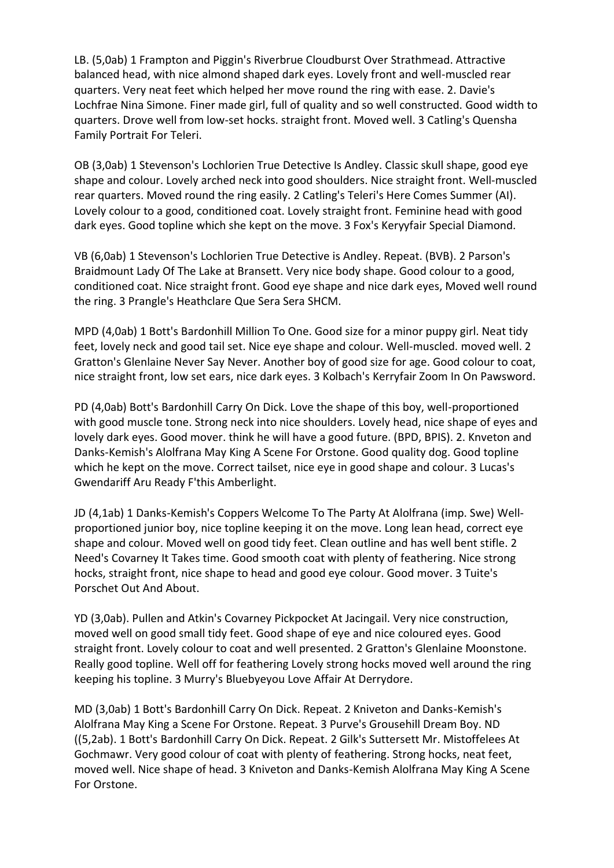LB. (5,0ab) 1 Frampton and Piggin's Riverbrue Cloudburst Over Strathmead. Attractive balanced head, with nice almond shaped dark eyes. Lovely front and well-muscled rear quarters. Very neat feet which helped her move round the ring with ease. 2. Davie's Lochfrae Nina Simone. Finer made girl, full of quality and so well constructed. Good width to quarters. Drove well from low-set hocks. straight front. Moved well. 3 Catling's Quensha Family Portrait For Teleri.

OB (3,0ab) 1 Stevenson's Lochlorien True Detective Is Andley. Classic skull shape, good eye shape and colour. Lovely arched neck into good shoulders. Nice straight front. Well-muscled rear quarters. Moved round the ring easily. 2 Catling's Teleri's Here Comes Summer (AI). Lovely colour to a good, conditioned coat. Lovely straight front. Feminine head with good dark eyes. Good topline which she kept on the move. 3 Fox's Keryyfair Special Diamond.

VB (6,0ab) 1 Stevenson's Lochlorien True Detective is Andley. Repeat. (BVB). 2 Parson's Braidmount Lady Of The Lake at Bransett. Very nice body shape. Good colour to a good, conditioned coat. Nice straight front. Good eye shape and nice dark eyes, Moved well round the ring. 3 Prangle's Heathclare Que Sera Sera SHCM.

MPD (4,0ab) 1 Bott's Bardonhill Million To One. Good size for a minor puppy girl. Neat tidy feet, lovely neck and good tail set. Nice eye shape and colour. Well-muscled. moved well. 2 Gratton's Glenlaine Never Say Never. Another boy of good size for age. Good colour to coat, nice straight front, low set ears, nice dark eyes. 3 Kolbach's Kerryfair Zoom In On Pawsword.

PD (4,0ab) Bott's Bardonhill Carry On Dick. Love the shape of this boy, well-proportioned with good muscle tone. Strong neck into nice shoulders. Lovely head, nice shape of eyes and lovely dark eyes. Good mover. think he will have a good future. (BPD, BPIS). 2. Knveton and Danks-Kemish's Alolfrana May King A Scene For Orstone. Good quality dog. Good topline which he kept on the move. Correct tailset, nice eye in good shape and colour. 3 Lucas's Gwendariff Aru Ready F'this Amberlight.

JD (4,1ab) 1 Danks-Kemish's Coppers Welcome To The Party At Alolfrana (imp. Swe) Wellproportioned junior boy, nice topline keeping it on the move. Long lean head, correct eye shape and colour. Moved well on good tidy feet. Clean outline and has well bent stifle. 2 Need's Covarney It Takes time. Good smooth coat with plenty of feathering. Nice strong hocks, straight front, nice shape to head and good eye colour. Good mover. 3 Tuite's Porschet Out And About.

YD (3,0ab). Pullen and Atkin's Covarney Pickpocket At Jacingail. Very nice construction, moved well on good small tidy feet. Good shape of eye and nice coloured eyes. Good straight front. Lovely colour to coat and well presented. 2 Gratton's Glenlaine Moonstone. Really good topline. Well off for feathering Lovely strong hocks moved well around the ring keeping his topline. 3 Murry's Bluebyeyou Love Affair At Derrydore.

MD (3,0ab) 1 Bott's Bardonhill Carry On Dick. Repeat. 2 Kniveton and Danks-Kemish's Alolfrana May King a Scene For Orstone. Repeat. 3 Purve's Grousehill Dream Boy. ND ((5,2ab). 1 Bott's Bardonhill Carry On Dick. Repeat. 2 Gilk's Suttersett Mr. Mistoffelees At Gochmawr. Very good colour of coat with plenty of feathering. Strong hocks, neat feet, moved well. Nice shape of head. 3 Kniveton and Danks-Kemish Alolfrana May King A Scene For Orstone.